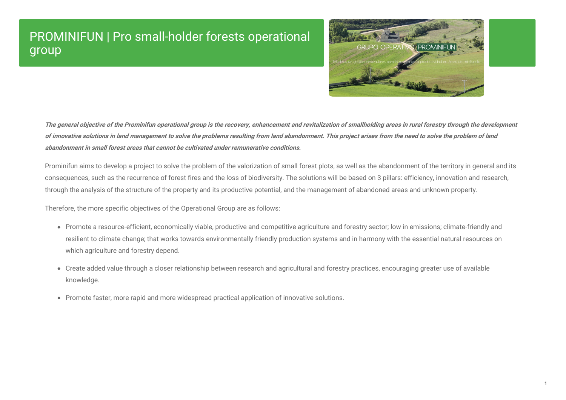# PROMINIFUN | Pro small-holder forests operational group



The general objective of the Prominifun operational group is the recovery, enhancement and revitalization of smallholding areas in rural forestry through the development of innovative solutions in land management to solve the problems resulting from land abandonment. This project arises from the need to solve the problem of land **abandonment in small forest areas that cannot be cultivated under remunerative conditions.**

Prominifun aims to develop a project to solve the problem of the valorization of small forest plots, as well as the abandonment of the territory in general and its consequences, such as the recurrence of forest fires and the loss of biodiversity. The solutions will be based on 3 pillars: efficiency, innovation and research, through the analysis of the structure of the property and its productive potential, and the management of abandoned areas and unknown property.

Therefore, the more specific objectives of the Operational Group are as follows:

- Promote a resource-efficient, economically viable, productive and competitive agriculture and forestry sector; low in emissions; climate-friendly and resilient to climate change; that works towards environmentally friendly production systems and in harmony with the essential natural resources on which agriculture and forestry depend.
- Create added value through a closer relationship between research and agricultural and forestry practices, encouraging greater use of available knowledge.
- Promote faster, more rapid and more widespread practical application of innovative solutions.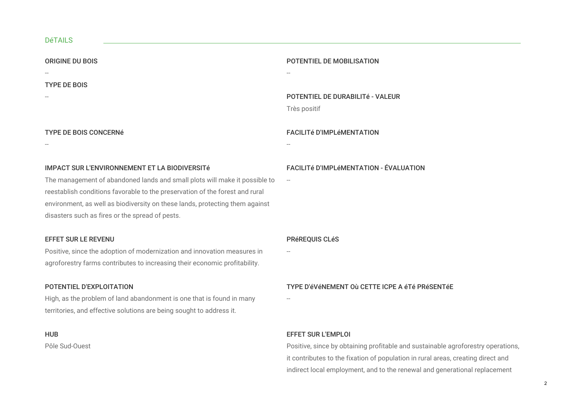#### DéTAILS

| <b>ORIGINE DU BOIS</b>                                                       | POTENTIEL DE MOBILISATION                      |
|------------------------------------------------------------------------------|------------------------------------------------|
|                                                                              |                                                |
| <b>TYPE DE BOIS</b>                                                          |                                                |
|                                                                              | <b>POTENTIEL DE DURABILITÉ - VALEUR</b>        |
|                                                                              | Très positif                                   |
|                                                                              |                                                |
| <b>TYPE DE BOIS CONCERNÉ</b>                                                 | <b>FACILITÉ D'IMPLÉMENTATION</b>               |
|                                                                              |                                                |
|                                                                              |                                                |
| IMPACT SUR L'ENVIRONNEMENT ET LA BIODIVERSITÉ                                | <b>FACILITÉ D'IMPLÉMENTATION - ÉVAL</b>        |
| The management of abandoned lands and small plots will make it possible to   | $\hspace{0.1mm}-\hspace{0.1mm}-\hspace{0.1mm}$ |
| reestablish conditions favorable to the preservation of the forest and rural |                                                |

environment, as well as biodiversity on these lands, protecting them against disasters such as fires or the spread of pests.

#### EFFET SUR LE REVENU

Positive, since the adoption of modernization and innovation measures in agroforestry farms contributes to increasing their economic profitability.

#### POTENTIEL D'EXPLOITATION

High, as the problem of land abandonment is one that is found in many territories, and effective solutions are being sought to address it.

#### HUB

Pôle Sud-Ouest

#### **ALUATION**

PRéREQUIS CLéS

--

#### TYPE D'éVéNEMENT Où CETTE ICPE A éTé PRéSENTéE

--

#### EFFET SUR L'EMPLOI

Positive, since by obtaining profitable and sustainable agroforestry operations, it contributes to the fixation of population in rural areas, creating direct and indirect local employment, and to the renewal and generational replacement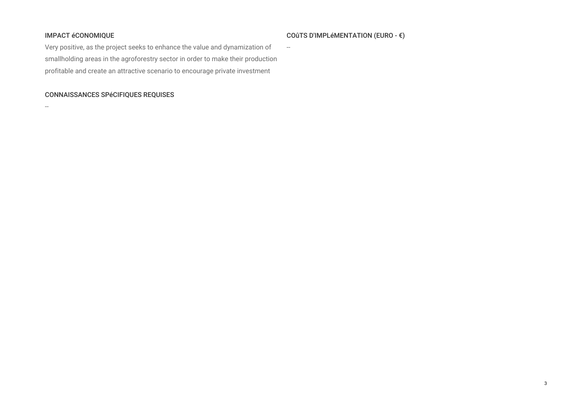#### IMPACT éCONOMIQUE

#### COûTS D'IMPLéMENTATION (EURO - €)

 $\sim$ 

Very positive, as the project seeks to enhance the value and dynamization of smallholding areas in the agroforestry sector in order to make their production profitable and create an attractive scenario to encourage private investment

#### CONNAISSANCES SPéCIFIQUES REQUISES

--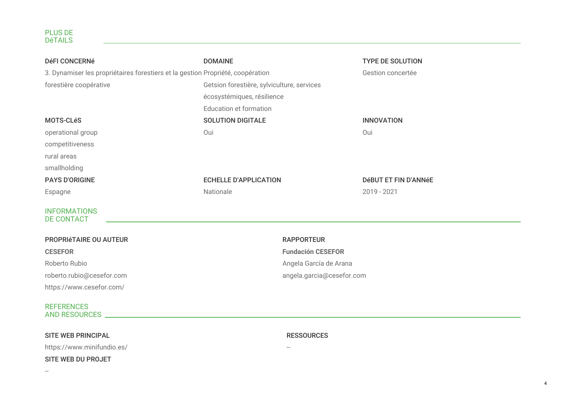| <b>DéFI CONCERNé</b>                                                           | <b>DOMAINE</b>                             | <b>TYPE DE SOLUTION</b> |
|--------------------------------------------------------------------------------|--------------------------------------------|-------------------------|
| 3. Dynamiser les propriétaires forestiers et la gestion Propriété, coopération |                                            | Gestion concertée       |
| forestière coopérative                                                         | Getsion forestière, sylviculture, services |                         |
|                                                                                | écosystémiques, résilience                 |                         |
|                                                                                | Education et formation                     |                         |
| <b>MOTS-CLéS</b>                                                               | <b>SOLUTION DIGITALE</b>                   | <b>INNOVATION</b>       |
| operational group                                                              | Oui                                        | Oui                     |
| competitiveness                                                                |                                            |                         |
| rural areas                                                                    |                                            |                         |
| smallholding                                                                   |                                            |                         |
| <b>PAYS D'ORIGINE</b>                                                          | <b>ECHELLE D'APPLICATION</b>               | DéBUT ET FIN D'ANNéE    |
| Espagne                                                                        | Nationale                                  | $2019 - 2021$           |
| <b>INFORMATIONS</b><br><b>DE CONTACT</b>                                       |                                            |                         |
| <b>PROPRIÉTAIRE OU AUTEUR</b>                                                  | <b>RAPPORTEUR</b>                          |                         |

**CESEFOR** Roberto Rubio roberto.rubio@cesefor.com https://www.cesefor.com/

## **Fundación CESEFOR** Angela García de Arana

RESSOURCES

--

angela.garcia@cesefor.com

#### REFERENCES AND RESOURCES

#### SITE WEB PRINCIPAL

https://www.minifundio.es/

#### SITE WEB DU PROJET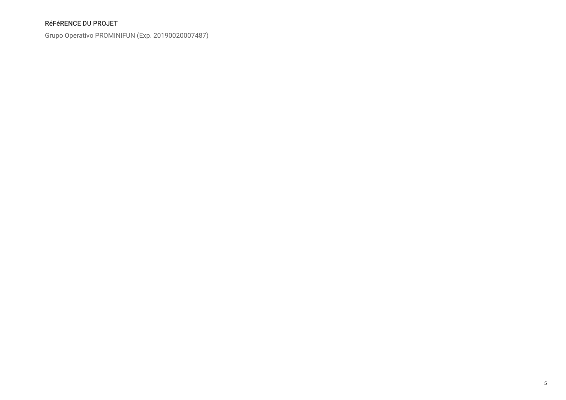### RéFéRENCE DU PROJET

Grupo Operativo PROMINIFUN (Exp. 20190020007487)